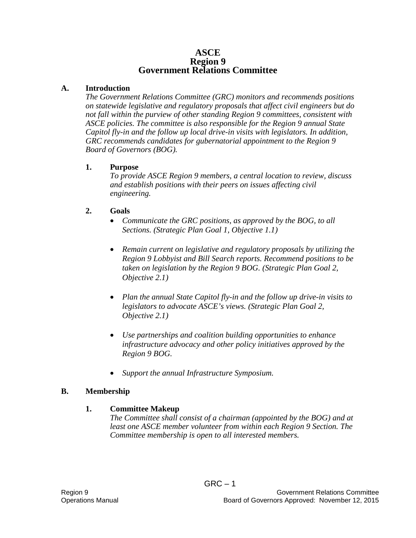#### **ASCE Region 9 Government Relations Committee**

#### **A. Introduction**

*The Government Relations Committee (GRC) monitors and recommends positions on statewide legislative and regulatory proposals that affect civil engineers but do not fall within the purview of other standing Region 9 committees, consistent with ASCE policies. The committee is also responsible for the Region 9 annual State Capitol fly-in and the follow up local drive-in visits with legislators. In addition, GRC recommends candidates for gubernatorial appointment to the Region 9 Board of Governors (BOG).* 

#### **1. Purpose**

*To provide ASCE Region 9 members, a central location to review, discuss and establish positions with their peers on issues affecting civil engineering.*

### **2. Goals**

- *Communicate the GRC positions, as approved by the BOG, to all Sections. (Strategic Plan Goal 1, Objective 1.1)*
- *Remain current on legislative and regulatory proposals by utilizing the Region 9 Lobbyist and Bill Search reports. Recommend positions to be taken on legislation by the Region 9 BOG. (Strategic Plan Goal 2, Objective 2.1)*
- *Plan the annual State Capitol fly-in and the follow up drive-in visits to legislators to advocate ASCE's views. (Strategic Plan Goal 2, Objective 2.1)*
- *Use partnerships and coalition building opportunities to enhance infrastructure advocacy and other policy initiatives approved by the Region 9 BOG.*
- *Support the annual Infrastructure Symposium.*

### **B. Membership**

#### **1. Committee Makeup**

*The Committee shall consist of a chairman (appointed by the BOG) and at least one ASCE member volunteer from within each Region 9 Section. The Committee membership is open to all interested members.*